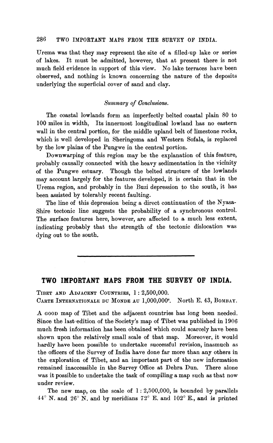## 286 TWO IMPORTANT MAPS FROM THE SURVEY OF INDIA.

Urema was that they may represent the site of a filled-up lake or series of lakes. It must be admitted, however, that at present there is not much field evidence in support of this view. No lake terraces have been observed, and nothing is known concerning the nature of the deposits underlying the superficial cover of sand and clay.

## *,Summary* **of** *Conclusions.*

The coastal lowlands form an imperfectly belted coastal plain 80 to 100 miles in width, Its innermost longitudinal lowland has no eastern wall in the central portion, for the middle upland belt of limestone rocks, which is well developed in Sheringoma and Western Sofala, is replaced by the low plains of the Pungwe in the central portion.

Downwarping of this region may be the explanation of this feature, probably causally connected with the heavy sedimentation in the vicinity of the Pungwe estuary. Though the belted structure of the lowlands may account largely for the features developed, it is certain that in the Urema region, and probably in the Buzi depression to the south, it has been assisted by tolerably recent faulting.

The line of this depression being a direct continuation of the Nyasa-Shire tectonic line suggests the probability of a synchronous control. The surface features here, however, are affected to a much less extent, indicating probably that the strength of the tectonic dislocation was dying out to the south.

## **TWO IMPORTANT MAPS FROM THE SURVEY OF INDIA.**

TIBET AND ADJACENT COUNTRIES, 1: 2,500,000. CARTE INTERNATIONALE DU MONDE AU l,OOO,OOOe. North E. **43,** BOMBAY.

**A** GOOD map of Tibet and the adjacent countries has long been needed. Since the last edition of the Society's map of Tibet was published in 1906 much fresh information has been obtained which could scarcely have been shown upon the relatively small scale of that map. Moreover, it would hardly have been possible to undertake successful revision, inasmuch as the officers of the Survey of India have done far more than any others in the exploration of Tibet, and an important part of the new information remained inaccessible in the Survey Office at Dehra Dun. There alone was it possible to undertake the task of compiling a map such as that now under review.

The new map, on the scale of  $1:2,500,000$ , is bounded by parallels  $44^{\circ}$  N. and  $26^{\circ}$  N. and by meridians  $72^{\circ}$  E. and  $102^{\circ}$  E., and is printed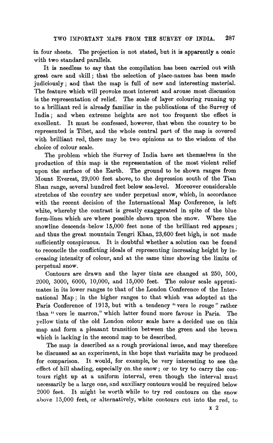in four sheets. The projection is not stated, but it is apparently a conic with two standard parallels.

It is needless to say that the compilation has been carried out with great care and skill; that the selection of place-names has been made judiciously; and that the map is full of new and interesting material. The feature which will provoke most interest and arouse most discussion is the representation of relief. The scale of layer colouring running up to a brilliant red is already familiar in the publications of the Survey of India; and when extreme heights are not too frequent the effect is excellent. It must be confessed, however, that when the country to be represented is Tibet, and the whole central part of the map is covered with brilliant red, there may be two opinions as to the wisdom of the choice of colour scale.

The problem which the Survey of India have set themselves in the production of this map is the representation of the most violent relief upon the surface of the Earth. The ground to be shown ranges from Mount Everest, 29,000 feet above, to the depression south of the Tian Shan range, several hundred feet below sea-level. Moreover considerable stretches of the country are under perpetual snow, which, in accordance with the recent decision of the International Map Conference, is left white, whereby the contrast is greatly exaggerated in spite of the blue form-lines which are where possible shown upon the snow. Where the snowline descends below 15,000 feet none of the brilliant red appears; and thus the great mountain Tengri Khan, 23,600 feet high, is not made sufficiently conspicuous. It is doubtful whether a solution can be found to reconcile the conflicting ideals of representing increasing height by increasing intensity of colour, and at the same time showing the limits of perpetual snow.

Contours are drawn and the layer tints are changed at 250, 500, 2000, 3000, 6006, 10,000, and 15,000 feet. The colour scale approximates in its lower ranges to that of the London Conference of the International Map; in the higher ranges to that which was adopted at the Paris Conference of 1913, but with a tendency "vers le rouge" rather than " vers le marron," which latter found more favour in Paris. The yellow tints of the old London colour scale have a decided use on this map and form a pleasant transition between the green and the brown which is lacking in the second map to be described.

The map is described as a rough provisional issue, and may therefore be discussed as an experiment, in the hope that variants may be produced for comparison. It would, for example, be very interesting to see the effect of hill shading, especially on.the snow; or to try to carry the contours right up at a uniform interval, even though the interval must necessarily be a large one, and auxiliary contours would be required below 8000 feet. It might he worth while to try red contours on the snow above 15,000 feet, or alternatively, white contours cut into the red, to

**x** 2